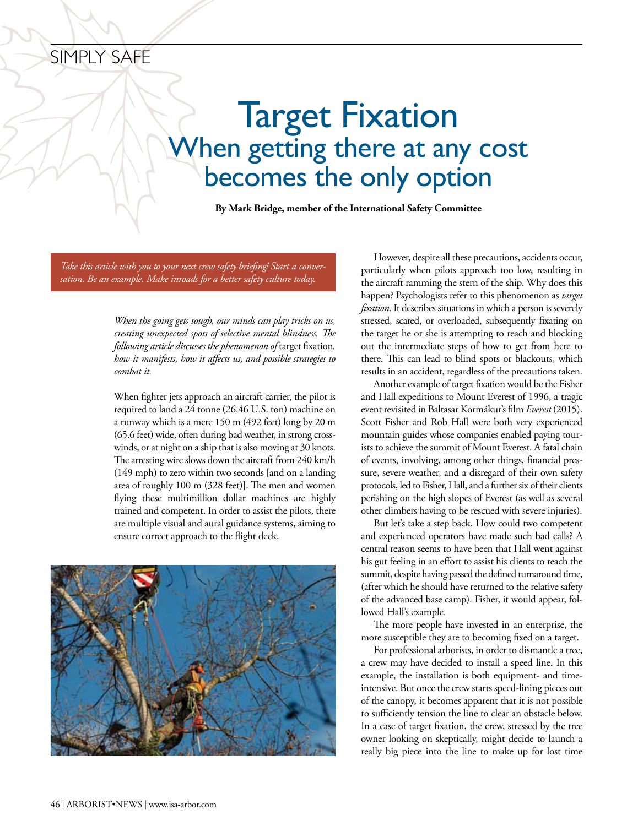## simply safe

## Target Fixation When getting there at any cost becomes the only option

**By Mark Bridge, member of the International Safety Committee**

*Take this article with you to your next crew safety briefing! Start a conversation. Be an example. Make inroads for a better safety culture today.*

> *When the going gets tough, our minds can play tricks on us, creating unexpected spots of selective mental blindness. The following article discusses the phenomenon of* target fixation*, how it manifests, how it affects us, and possible strategies to combat it.*

> When fighter jets approach an aircraft carrier, the pilot is required to land a 24 tonne(26.46 U.S. ton) machine on a runway which is a mere 150 m (492 feet) long by 20 m (65.6 feet) wide, often during bad weather, in strong crosswinds, or at night on a ship that is also moving at 30 knots. The arresting wire slows down the aircraft from 240 km/h (149 mph) to zero within two seconds [and on a landing area of roughly 100 m (328 feet)]. The men and women flying these multimillion dollar machines are highly trained and competent. In order to assist the pilots, there are multiple visual and aural guidance systems, aiming to ensure correct approach to the flight deck.



However, despite all these precautions, accidents occur, particularly when pilots approach too low, resulting in the aircraft ramming the stern of the ship. Why does this happen? Psychologists refer to this phenomenon as *target fixation*. It describes situations in which a person is severely stressed, scared, or overloaded, subsequently fixating on the target he or she is attempting to reach and blocking out the intermediate steps of how to get from here to there. This can lead to blind spots or blackouts, which results in an accident, regardless of the precautions taken.

Another example of target fixation would be the Fisher and Hall expeditions to Mount Everest of 1996, a tragic event revisited in Baltasar Kormákur's film *Everest* (2015). Scott Fisher and Rob Hall were both very experienced mountain guides whose companies enabled paying tourists to achieve the summit of Mount Everest. A fatal chain of events, involving, among other things, financial pressure, severe weather, and a disregard of their own safety protocols, led to Fisher, Hall, and a further six of their clients perishing on the high slopes of Everest (as well as several other climbers having to be rescued with severe injuries).

But let's take a step back. How could two competent and experienced operators have made such bad calls? A central reason seems to have been that Hall went against his gut feeling in an effort to assist his clients to reach the summit, despite having passed the defined turnaround time, (after which he should have returned to the relative safety of the advanced base camp). Fisher, it would appear, followed Hall's example.

The more people have invested in an enterprise, the more susceptible they are to becoming fixed on a target.

For professional arborists, in order to dismantle a tree, a crew may have decided to install a speed line. In this example, the installation is both equipment- and timeintensive. But once the crew starts speed-lining pieces out of the canopy, it becomes apparent that it is not possible to sufficiently tension the line to clear an obstacle below. In a case of target fixation, the crew, stressed by the tree owner looking on skeptically, might decide to launch a really big piece into the line to make up for lost time